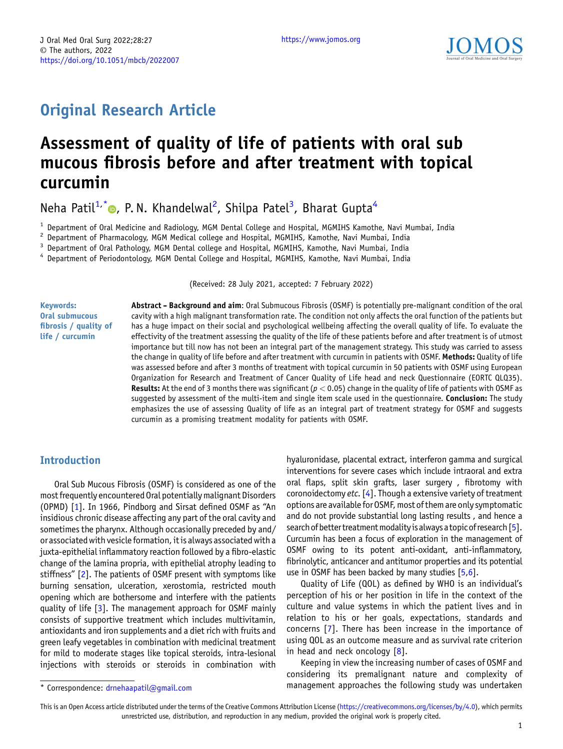$$
\underbrace{\text{JOM}}_{\text{Journal of } \text{Ord}} \underbrace{\text{Medicine}}_{\text{and } \text{Ord}} \underbrace{\text{S}}_{\text{Surgery}}
$$

# Original Research Article

# Assessment of quality of life of patients with oral sub mucous fibrosis before and after treatment with topical curcumin

Neha Patil<sup>1,[\\*](https://orcid.org/0000-0002-7663-5067)</sup>®, P.N. Khandelwal<sup>2</sup>, Shilpa Patel<sup>3</sup>, Bharat Gupta<sup>4</sup>

<sup>1</sup> Department of Oral Medicine and Radiology, MGM Dental College and Hospital, MGMIHS Kamothe, Navi Mumbai, India<br><sup>2</sup> Department of Pharmacology, MGM Medical college and Hospital, MGMIHS, Kamothe, Navi Mumbai, India<br><sup>3</sup>

(Received: 28 July 2021, accepted: 7 February 2022)

Keywords: Oral submucous fibrosis / quality of life / curcumin

Abstract - Background and aim: Oral Submucous Fibrosis (OSMF) is potentially pre-malignant condition of the oral cavity with a high malignant transformation rate. The condition not only affects the oral function of the patients but has a huge impact on their social and psychological wellbeing affecting the overall quality of life. To evaluate the effectivity of the treatment assessing the quality of the life of these patients before and after treatment is of utmost importance but till now has not been an integral part of the management strategy. This study was carried to assess the change in quality of life before and after treatment with curcumin in patients with OSMF. Methods: Quality of life was assessed before and after 3 months of treatment with topical curcumin in 50 patients with OSMF using European Organization for Research and Treatment of Cancer Quality of Life head and neck Questionnaire (EORTC QLQ35). Results: At the end of 3 months there was significant ( $p < 0.05$ ) change in the quality of life of patients with OSMF as suggested by assessment of the multi-item and single item scale used in the questionnaire. Conclusion: The study emphasizes the use of assessing Quality of life as an integral part of treatment strategy for OSMF and suggests curcumin as a promising treatment modality for patients with OSMF.

## Introduction

Oral Sub Mucous Fibrosis (OSMF) is considered as one of the most frequently encountered Oral potentially malignant Disorders (OPMD) [[1\]](#page-5-0). In 1966, Pindborg and Sirsat defined OSMF as "An insidious chronic disease affecting any part of the oral cavity and sometimes the pharynx. Although occasionally preceded by and/ or associated with vesicle formation, it is always associated with a juxta-epithelial inflammatory reaction followed by a fibro-elastic change of the lamina propria, with epithelial atrophy leading to stiffness" [[2\]](#page-5-0). The patients of OSMF present with symptoms like burning sensation, ulceration, xerostomia, restricted mouth opening which are bothersome and interfere with the patients quality of life [\[3](#page-6-0)]. The management approach for OSMF mainly consists of supportive treatment which includes multivitamin, antioxidants and iron supplements and a diet rich with fruits and green leafy vegetables in combination with medicinal treatment for mild to moderate stages like topical steroids, intra-lesional injections with steroids or steroids in combination with

hyaluronidase, placental extract, interferon gamma and surgical interventions for severe cases which include intraoral and extra oral flaps, split skin grafts, laser surgery , fibrotomy with coronoidectomy *etc.*  $[4]$  $[4]$ . Though a extensive variety of treatment options are available for OSMF, most of them are only symptomatic and do not provide substantial long lasting results , and hence a search of better treatment modality is always a topic of research  $[5]$  $[5]$  $[5]$ . Curcumin has been a focus of exploration in the management of OSMF owing to its potent anti-oxidant, anti-inflammatory, fibrinolytic, anticancer and antitumor properties and its potential use in OSMF has been backed by many studies [\[5,6](#page-6-0)].

Quality of Life (QOL) as defined by WHO is an individual's perception of his or her position in life in the context of the culture and value systems in which the patient lives and in relation to his or her goals, expectations, standards and concerns [\[7](#page-6-0)]. There has been increase in the importance of using QOL as an outcome measure and as survival rate criterion in head and neck oncology  $[8]$  $[8]$ .

Keeping in view the increasing number of cases of OSMF and considering its premalignant nature and complexity of \* Correspondence: [drnehaapatil@gmail.com](mailto:drnehaapatil@gmail.com) management approaches the following study was undertaken

This is an Open Access article distributed under the terms of the Creative Commons Attribution License [\(https://creativecommons.org/licenses/by/4.0\)](https://creativecommons.org/licenses/by/4.0), which permits unrestricted use, distribution, and reproduction in any medium, provided the original work is properly cited.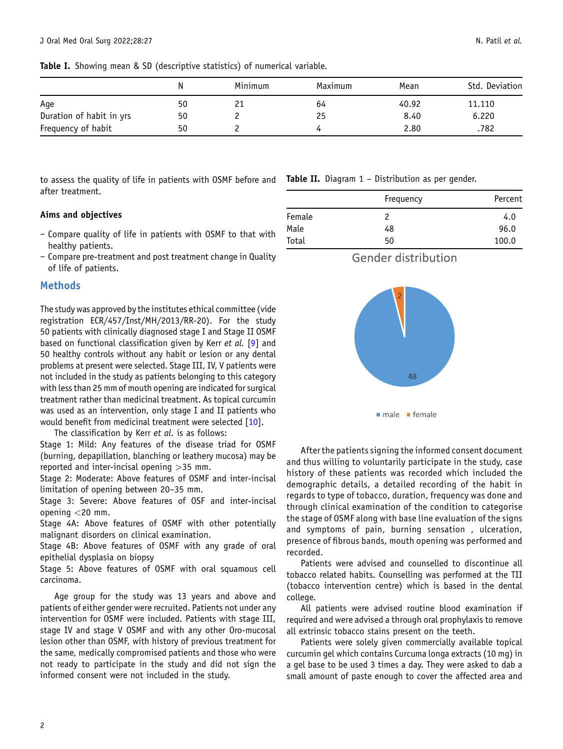<span id="page-1-0"></span>Table I. Showing mean & SD (descriptive statistics) of numerical variable.

|                          |    | Minimum | Maximum | Mean  | Std. Deviation |
|--------------------------|----|---------|---------|-------|----------------|
| Aqe                      | 50 |         | 64      | 40.92 | 11.110         |
| Duration of habit in yrs | 50 |         | 25      | 8.40  | 6.220          |
| Frequency of habit       | 50 |         |         | 2.80  | .782           |

to assess the quality of life in patients with OSMF before and **Table II.** Diagram 1 – Distribution as per gender. after treatment.

#### Aims and objectives

- Compare quality of life in patients with OSMF to that with healthy patients.
- Compare pre-treatment and post treatment change in Quality of life of patients.

#### Methods

The study was approved by the institutes ethical committee (vide registration ECR/457/Inst/MH/2013/RR-20). For the study 50 patients with clinically diagnosed stage I and Stage II OSMF based on functional classification given by Kerr et al. [\[9](#page-6-0)] and 50 healthy controls without any habit or lesion or any dental problems at present were selected. Stage III, IV, V patients were not included in the study as patients belonging to this category with less than 25 mm of mouth opening are indicated for surgical treatment rather than medicinal treatment. As topical curcumin was used as an intervention, only stage I and II patients who would benefit from medicinal treatment were selected [\[10\]](#page-6-0).

The classification by Kerr et al. is as follows:

Stage 1: Mild: Any features of the disease triad for OSMF (burning, depapillation, blanching or leathery mucosa) may be reported and inter-incisal opening >35 mm.

Stage 2: Moderate: Above features of OSMF and inter-incisal limitation of opening between 20–35 mm.

Stage 3: Severe: Above features of OSF and inter-incisal opening <20 mm.

Stage 4A: Above features of OSMF with other potentially malignant disorders on clinical examination.

Stage 4B: Above features of OSMF with any grade of oral epithelial dysplasia on biopsy

Stage 5: Above features of OSMF with oral squamous cell carcinoma.

Age group for the study was 13 years and above and patients of either gender were recruited. Patients not under any intervention for OSMF were included. Patients with stage III, stage IV and stage V OSMF and with any other Oro-mucosal lesion other than OSMF, with history of previous treatment for the same, medically compromised patients and those who were not ready to participate in the study and did not sign the informed consent were not included in the study.

|        | Frequency | Percent |
|--------|-----------|---------|
| Female | 2         | 4.0     |
| Male   | 48        | 96.0    |
| Total  | 50        | 100.0   |





After the patients signing the informed consent document and thus willing to voluntarily participate in the study, case history of these patients was recorded which included the demographic details, a detailed recording of the habit in regards to type of tobacco, duration, frequency was done and through clinical examination of the condition to categorise the stage of OSMF along with base line evaluation of the signs and symptoms of pain, burning sensation , ulceration, presence of fibrous bands, mouth opening was performed and recorded.

Patients were advised and counselled to discontinue all tobacco related habits. Counselling was performed at the TII (tobacco intervention centre) which is based in the dental college.

All patients were advised routine blood examination if required and were advised a through oral prophylaxis to remove all extrinsic tobacco stains present on the teeth.

Patients were solely given commercially available topical curcumin gel which contains Curcuma longa extracts (10 mg) in a gel base to be used 3 times a day. They were asked to dab a small amount of paste enough to cover the affected area and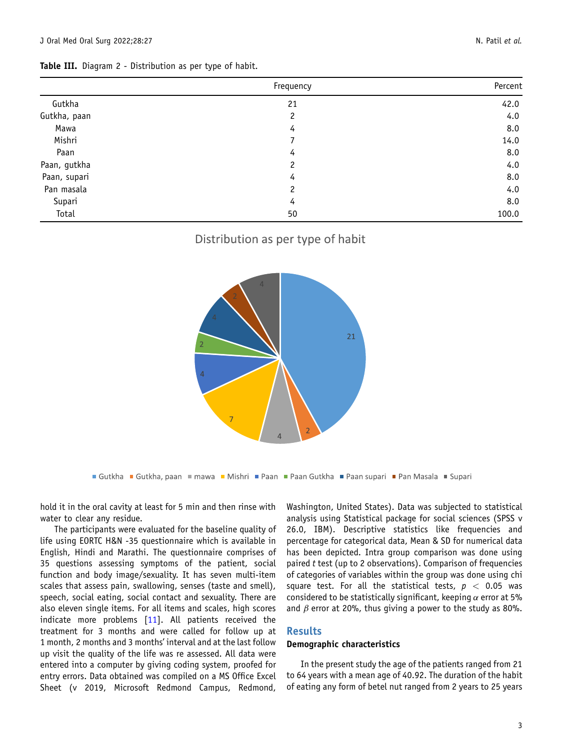<span id="page-2-0"></span>

|              | Frequency | Percent |
|--------------|-----------|---------|
| Gutkha       | 21        | 42.0    |
| Gutkha, paan | 2         | 4.0     |
| Mawa         | 4         | 8.0     |
| Mishri       | 7         | 14.0    |
| Paan         | 4         | 8.0     |
| Paan, gutkha | 2         | 4.0     |
| Paan, supari | 4         | 8.0     |
| Pan masala   | 2         | 4.0     |
| Supari       | 4         | 8.0     |
| Total        | 50        | 100.0   |

# Distribution as per type of habit



■ Gutkha ■ Gutkha, paan ■ mawa ■ Mishri ■ Paan ■ Paan Gutkha ■ Paan supari ■ Pan Masala ■ Supari

hold it in the oral cavity at least for 5 min and then rinse with water to clear any residue.

The participants were evaluated for the baseline quality of life using EORTC H&N -35 questionnaire which is available in English, Hindi and Marathi. The questionnaire comprises of 35 questions assessing symptoms of the patient, social function and body image/sexuality. It has seven multi-item scales that assess pain, swallowing, senses (taste and smell), speech, social eating, social contact and sexuality. There are also eleven single items. For all items and scales, high scores indicate more problems [\[11](#page-6-0)]. All patients received the treatment for 3 months and were called for follow up at 1 month, 2 months and 3 months' interval and at the last follow up visit the quality of the life was re assessed. All data were entered into a computer by giving coding system, proofed for entry errors. Data obtained was compiled on a MS Office Excel Sheet (v 2019, Microsoft Redmond Campus, Redmond,

Washington, United States). Data was subjected to statistical analysis using Statistical package for social sciences (SPSS v 26.0, IBM). Descriptive statistics like frequencies and percentage for categorical data, Mean & SD for numerical data has been depicted. Intra group comparison was done using paired  $t$  test (up to 2 observations). Comparison of frequencies of categories of variables within the group was done using chi square test. For all the statistical tests,  $p < 0.05$  was considered to be statistically significant, keeping  $\alpha$  error at 5% and  $\beta$  error at 20%, thus giving a power to the study as 80%.

#### Results

#### Demographic characteristics

In the present study the age of the patients ranged from 21 to 64 years with a mean age of 40.92. The duration of the habit of eating any form of betel nut ranged from 2 years to 25 years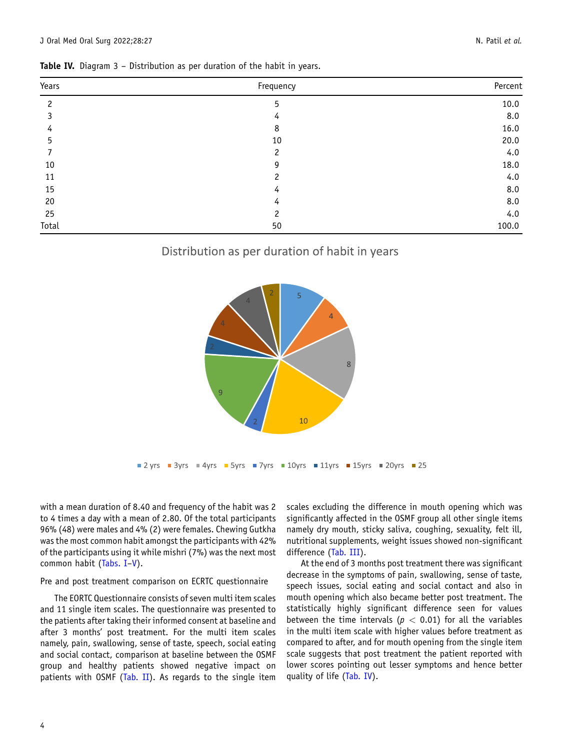| Years | Frequency     | Percent |
|-------|---------------|---------|
| 2     | 5             | 10.0    |
|       | 4             | 8.0     |
| 4     | 8             | 16.0    |
| 5     | 10            | 20.0    |
|       | 2             | 4.0     |
| 10    | g             | 18.0    |
| 11    | $\mathcal{P}$ | 4.0     |
| 15    | 4             | 8.0     |
| 20    | 4             | 8.0     |
| 25    | 2             | 4.0     |
| Total | 50            | 100.0   |

Table IV. Diagram 3 - Distribution as per duration of the habit in years.

# Distribution as per duration of habit in years



with a mean duration of 8.40 and frequency of the habit was 2 to 4 times a day with a mean of 2.80. Of the total participants 96% (48) were males and 4% (2) were females. Chewing Gutkha was the most common habit amongst the participants with 42% of the participants using it while mishri (7%) was the next most common habit ([Tabs. I](#page-1-0)–[V\)](#page-4-0).

#### Pre and post treatment comparison on ECRTC questionnaire

The EORTC Questionnaire consists of seven multi item scales and 11 single item scales. The questionnaire was presented to the patients after taking their informed consent at baseline and after 3 months' post treatment. For the multi item scales namely, pain, swallowing, sense of taste, speech, social eating and social contact, comparison at baseline between the OSMF group and healthy patients showed negative impact on patients with OSMF [\(Tab. II](#page-1-0)). As regards to the single item

scales excluding the difference in mouth opening which was significantly affected in the OSMF group all other single items namely dry mouth, sticky saliva, coughing, sexuality, felt ill, nutritional supplements, weight issues showed non-significant difference ([Tab. III](#page-2-0)).

At the end of 3 months post treatment there was significant decrease in the symptoms of pain, swallowing, sense of taste, speech issues, social eating and social contact and also in mouth opening which also became better post treatment. The statistically highly significant difference seen for values between the time intervals ( $p < 0.01$ ) for all the variables in the multi item scale with higher values before treatment as compared to after, and for mouth opening from the single item scale suggests that post treatment the patient reported with lower scores pointing out lesser symptoms and hence better quality of life (Tab. IV).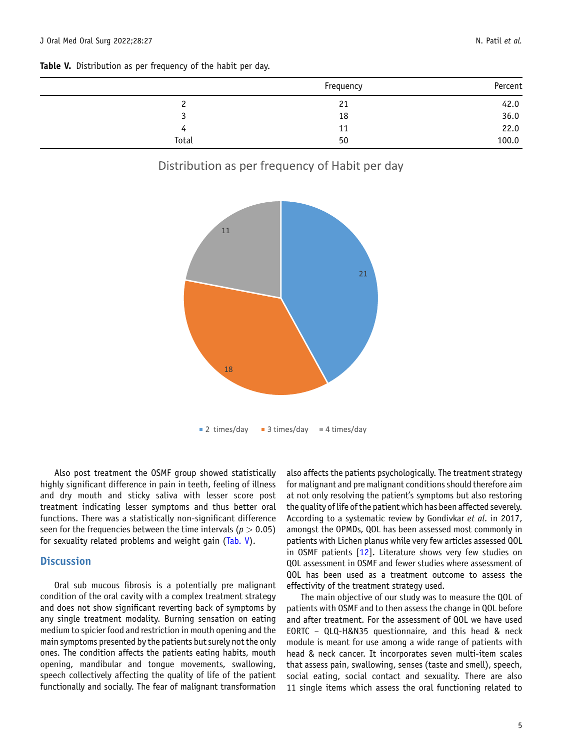<span id="page-4-0"></span>

|       | Frequency | Percent |
|-------|-----------|---------|
|       | 21        | 42.0    |
|       | 18        | 36.0    |
| 4     | 11        | 22.0    |
| Total | 50        | 100.0   |

# Distribution as per frequency of Habit per day



Also post treatment the OSMF group showed statistically highly significant difference in pain in teeth, feeling of illness and dry mouth and sticky saliva with lesser score post treatment indicating lesser symptoms and thus better oral functions. There was a statistically non-significant difference seen for the frequencies between the time intervals ( $p > 0.05$ ) for sexuality related problems and weight gain (Tab. V).

# **Discussion**

Oral sub mucous fibrosis is a potentially pre malignant condition of the oral cavity with a complex treatment strategy and does not show significant reverting back of symptoms by any single treatment modality. Burning sensation on eating medium to spicier food and restriction in mouth opening and the main symptoms presented by the patients but surely not the only ones. The condition affects the patients eating habits, mouth opening, mandibular and tongue movements, swallowing, speech collectively affecting the quality of life of the patient functionally and socially. The fear of malignant transformation

also affects the patients psychologically. The treatment strategy for malignant and pre malignant conditions should therefore aim at not only resolving the patient's symptoms but also restoring the quality of life of the patient which has been affected severely. According to a systematic review by Gondivkar et al. in 2017, amongst the OPMDs, QOL has been assessed most commonly in patients with Lichen planus while very few articles assessed QOL in OSMF patients [[12](#page-6-0)]. Literature shows very few studies on QOL assessment in OSMF and fewer studies where assessment of QOL has been used as a treatment outcome to assess the effectivity of the treatment strategy used.

The main objective of our study was to measure the QOL of patients with OSMF and to then assess the change in QOL before and after treatment. For the assessment of QOL we have used EORTC – QLQ-H&N35 questionnaire, and this head & neck module is meant for use among a wide range of patients with head & neck cancer. It incorporates seven multi-item scales that assess pain, swallowing, senses (taste and smell), speech, social eating, social contact and sexuality. There are also 11 single items which assess the oral functioning related to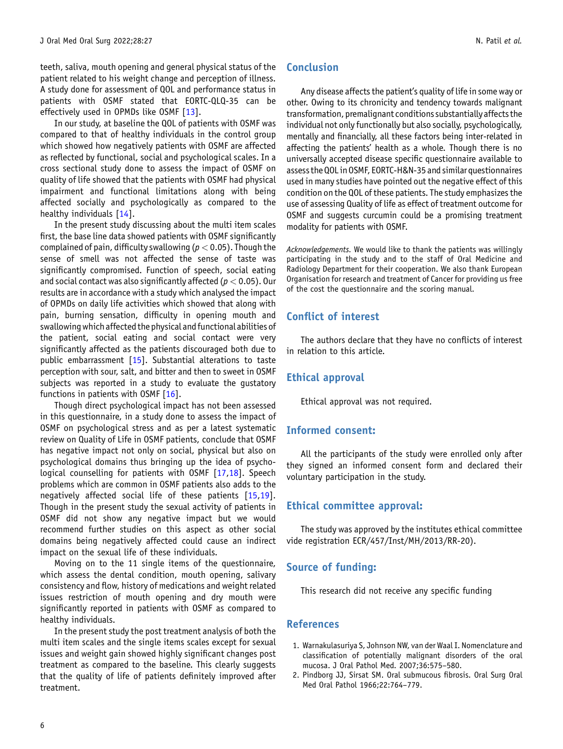<span id="page-5-0"></span>teeth, saliva, mouth opening and general physical status of the patient related to his weight change and perception of illness. A study done for assessment of QOL and performance status in patients with OSMF stated that EORTC-QLQ-35 can be effectively used in OPMDs like OSMF [\[13](#page-6-0)].

In our study, at baseline the QOL of patients with OSMF was compared to that of healthy individuals in the control group which showed how negatively patients with OSMF are affected as reflected by functional, social and psychological scales. In a cross sectional study done to assess the impact of OSMF on quality of life showed that the patients with OSMF had physical impairment and functional limitations along with being affected socially and psychologically as compared to the healthy individuals [\[14](#page-6-0)].

In the present study discussing about the multi item scales first, the base line data showed patients with OSMF significantly complained of pain, difficulty swallowing ( $p < 0.05$ ). Though the sense of smell was not affected the sense of taste was significantly compromised. Function of speech, social eating and social contact was also significantly affected ( $p < 0.05$ ). Our results are in accordance with a study which analysed the impact of OPMDs on daily life activities which showed that along with pain, burning sensation, difficulty in opening mouth and swallowing which affected the physical and functional abilities of the patient, social eating and social contact were very significantly affected as the patients discouraged both due to public embarrassment [\[15\]](#page-6-0). Substantial alterations to taste perception with sour, salt, and bitter and then to sweet in OSMF subjects was reported in a study to evaluate the gustatory functions in patients with OSMF  $[16]$  $[16]$  $[16]$ .

Though direct psychological impact has not been assessed in this questionnaire, in a study done to assess the impact of OSMF on psychological stress and as per a latest systematic review on Quality of Life in OSMF patients, conclude that OSMF has negative impact not only on social, physical but also on psychological domains thus bringing up the idea of psycho-logical counselling for patients with OSMF [[17,18](#page-6-0)]. Speech problems which are common in OSMF patients also adds to the negatively affected social life of these patients [\[15,19](#page-6-0)]. Though in the present study the sexual activity of patients in OSMF did not show any negative impact but we would recommend further studies on this aspect as other social domains being negatively affected could cause an indirect impact on the sexual life of these individuals.

Moving on to the 11 single items of the questionnaire, which assess the dental condition, mouth opening, salivary consistency and flow, history of medications and weight related issues restriction of mouth opening and dry mouth were significantly reported in patients with OSMF as compared to healthy individuals.

In the present study the post treatment analysis of both the multi item scales and the single items scales except for sexual issues and weight gain showed highly significant changes post treatment as compared to the baseline. This clearly suggests that the quality of life of patients definitely improved after treatment.

Any disease affects the patient's quality of life in some way or other. Owing to its chronicity and tendency towards malignant transformation, premalignant conditions substantially affects the individual not only functionally but also socially, psychologically, mentally and financially, all these factors being inter-related in affecting the patients' health as a whole. Though there is no universally accepted disease specific questionnaire available to assess the QOLin OSMF, EORTC-H&N-35 and similar questionnaires used in many studies have pointed out the negative effect of this condition on the QOL of these patients. The study emphasizes the use of assessing Quality of life as effect of treatment outcome for OSMF and suggests curcumin could be a promising treatment modality for patients with OSMF.

Acknowledgements. We would like to thank the patients was willingly participating in the study and to the staff of Oral Medicine and Radiology Department for their cooperation. We also thank European Organisation for research and treatment of Cancer for providing us free of the cost the questionnaire and the scoring manual.

# Conflict of interest

The authors declare that they have no conflicts of interest in relation to this article.

## Ethical approval

Ethical approval was not required.

## Informed consent:

All the participants of the study were enrolled only after they signed an informed consent form and declared their voluntary participation in the study.

## Ethical committee approval:

The study was approved by the institutes ethical committee vide registration ECR/457/Inst/MH/2013/RR-20).

## Source of funding:

This research did not receive any specific funding

#### References

- 1. Warnakulasuriya S, Johnson NW, van der Waal I. Nomenclature and classification of potentially malignant disorders of the oral mucosa. J Oral Pathol Med. 2007;36:575–580.
- 2. Pindborg JJ, Sirsat SM. Oral submucous fibrosis. Oral Surg Oral Med Oral Pathol 1966;22:764–779.